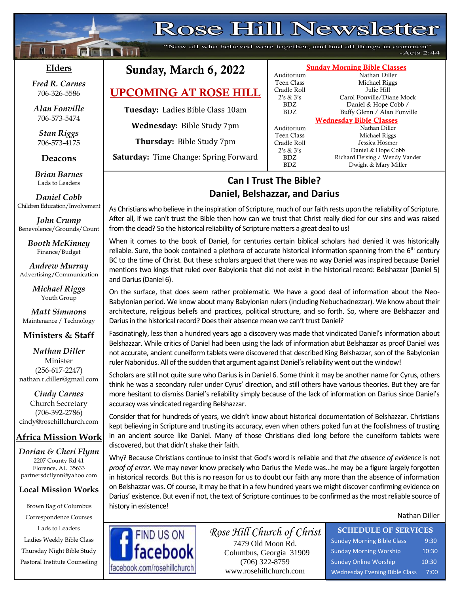## Rose Hill Newsletter

"Now all who believed were together, and had all things in common"  $-Acts$  2:44

## **Elders**

 $\mathbf{f}$ 

**;30Ma\*``**

**Matural Adam** 

*Fred R. Carnes* 706-326-5586

*Alan Fonville* 706-573-5474

*Stan Riggs* 706-573-4175

## **Deacons**

**;**  *Brian Barnes* Lads to Leaders

*Daniel Cobb* Children Education/Involvement

*John Crump* Benevolence/Grounds/Count

> *Booth McKinney* Finance/Budget

*Andrew Murray* Advertising/Communication

> *Michael Riggs* Youth Group

*Matt Simmons* Maintenance / Technology

## **Ministers & Staff**

*Nathan Diller* Minister (256-617-2247) nathan.r.diller@gmail.com

*Cindy Carnes* Church Secretary (706-392-2786) cindy@rosehillchurch.com

## **Africa Mission Work**

*Dorian & Cheri Flynn* 2207 County Rd 41 Florence, AL 35633 [partnersdcflynn@yahoo.com](mailto:partnersdcflynn@yahoo.com)

#### **Local Mission Works**

Brown Bag of Columbus Correspondence Courses Lads to Leaders Ladies Weekly Bible Class Thursday Night Bible Study Pastoral Institute Counseling

## Sunday, March 6, 2022

UPCOMING AT ROSE HILL

**Tuesday:** Ladies Bible Class 10am

**Wednesday:** Bible Study 7pm

**Thursday:** Bible Study 7pm

**Saturday:** Time Change: Spring Forward

#### Sunday Morning Bible Classes Auditorium Nathan Diller Teen Class Michael Riggs Cradle Roll Julie Hill 2's & 3's Carol Fonville/Diane Mock BDZ Daniel & Hope Cobb / BDZ Buffy Glenn / Alan Fonville Auditorium Nathan Diller Teen Class Michael Riggs Cradle Roll Jessica Hosmer 2's & 3's Daniel & Hope Cobb BDZ Richard Deising / Wendy Vander<br>BDZ Dwight & Mary Miller Dwight & Mary Miller

# Wednesday Bible Classes

**Can I Trust The Bible? Daniel, Belshazzar, and Darius**

As Christians who believe in the inspiration of Scripture, much of our faith rests upon the reliability of Scripture. After all, if we can't trust the Bible then how can we trust that Christ really died for our sins and was raised from the dead? So the historical reliability of Scripture matters a great deal to us!

When it comes to the book of Daniel, for centuries certain biblical scholars had denied it was historically reliable. Sure, the book contained a plethora of accurate historical information spanning from the  $6<sup>th</sup>$  century BC to the time of Christ. But these scholars argued that there was no way Daniel was inspired because Daniel mentions two kings that ruled over Babylonia that did not exist in the historical record: Belshazzar (Daniel 5) and Darius (Daniel 6).

On the surface, that does seem rather problematic. We have a good deal of information about the Neo-Babylonian period. We know about many Babylonian rulers (including Nebuchadnezzar). We know about their architecture, religious beliefs and practices, political structure, and so forth. So, where are Belshazzar and Darius in the historical record? Does their absence mean we can't trust Daniel?

Fascinatingly, less than a hundred years ago a discovery was made that vindicated Daniel's information about Belshazzar. While critics of Daniel had been using the lack of information abut Belshazzar as proof Daniel was not accurate, ancient cuneiform tablets were discovered that described King Belshazzar, son of the Babylonian ruler Nabonidus. All of the sudden that argument against Daniel's reliability went out the window!

Scholars are still not quite sure who Darius is in Daniel 6. Some think it may be another name for Cyrus, others think he was a secondary ruler under Cyrus' direction, and still others have various theories. But they are far more hesitant to dismiss Daniel's reliability simply because of the lack of information on Darius since Daniel's accuracy was vindicated regarding Belshazzar.

Consider that for hundreds of years, we didn't know about historical documentation of Belshazzar. Christians kept believing in Scripture and trusting its accuracy, even when others poked fun at the foolishness of trusting in an ancient source like Daniel. Many of those Christians died long before the cuneiform tablets were discovered, but that didn't shake their faith.

Why? Because Christians continue to insist that God's word is reliable and that *the absence of evidence* is not *proof of error*. We may never know precisely who Darius the Mede was…he may be a figure largely forgotten in historical records. But this is no reason for us to doubt our faith any more than the absence of information on Belshazzar was. Of course, it may be that in a few hundred years we might discover confirming evidence on Darius' existence. But even if not, the text of Scripture continues to be confirmed as the most reliable source of history in existence!

Nathan Diller



*Rose Hill Church of Christ* 7479 Old Moon Rd. Columbus, Georgia 31909 (706) 322-8759 www.rosehillchurch.com

SCHEDULE OF SERVICES Sunday Morning Bible Class 9:30 Sunday Morning Worship 10:30 Sunday Online Worship 10:30

Wednesday Evening Bible Class 7:00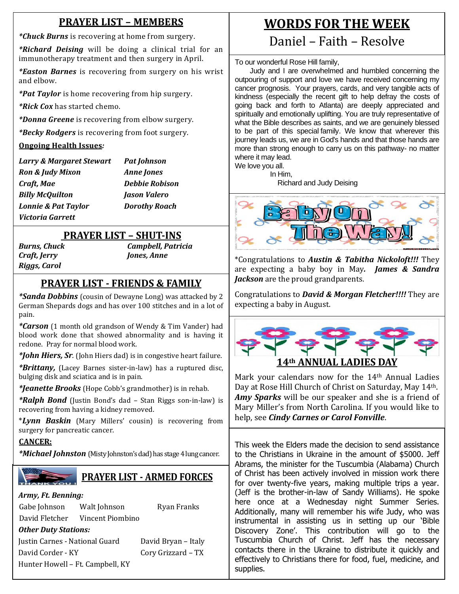## **PRAYER LIST – MEMBERS**

*\*Chuck Burns* is recovering at home from surgery.

*\*Richard Deising* will be doing a clinical trial for an immunotherapy treatment and then surgery in April.

*\*Easton Barnes* is recovering from surgery on his wrist and elbow.

*\*Pat Taylor* is home recovering from hip surgery.

*\*Rick Cox* has started chemo.

*\*Donna Greene* is recovering from elbow surgery.

*\*Becky Rodgers* is recovering from foot surgery.

#### **Ongoing Health Issues***:*

*Larry & Margaret Stewart Pat Johnson Ron & Judy Mixon Anne Jones Craft, Mae Debbie Robison Billy McQuilton Jason Valero Lonnie & Pat Taylor Dorothy Roach Victoria Garrett*

## **PRAYER LIST – SHUT-INS**

*Riggs, Carol*

*Burns, Chuck Campbell, Patricia Craft, Jerry Jones, Anne*

## **PRAYER LIST - FRIENDS & FAMILY**

 *\*Sanda Dobbins* (cousin of Dewayne Long) was attacked by 2 German Shepards dogs and has over 100 stitches and in a lot of pain.

*\*Carson* (1 month old grandson of Wendy & Tim Vander) had blood work done that showed abnormality and is having it redone. Pray for normal blood work.

*\*John Hiers, Sr.* (John Hiers dad) is in congestive heart failure.

*\*Brittany,* (Lacey Barnes sister-in-law) has a ruptured disc, bulging disk and sciatica and is in pain.

*\*Jeanette Brooks* (Hope Cobb's grandmother) is in rehab.

*\*Ralph Bond* (Justin Bond's dad – Stan Riggs son-in-law) is recovering from having a kidney removed.

\**Lynn Baskin* (Mary Millers' cousin) is recovering from surgery for pancreatic cancer.

### **CANCER:**

*\*Michael Johnston* (Misty Johnston's dad) has stage 4 lung cancer.



## **PRAYER LIST - ARMED FORCES**

#### *Army, Ft. Benning:*

Gabe Johnson Walt Johnson Ryan Franks David Fletcher Vincent Piombino

*Other Duty Stations:*

Justin Carnes - National Guard David Bryan – Italy David Corder - KY Cory Grizzard – TX Hunter Howell – Ft. Campbell, KY

## **WORDS FOR THE WEEK**

## Daniel – Faith – Resolve

To our wonderful Rose Hill family,

Judy and I are overwhelmed and humbled concerning the outpouring of support and love we have received concerning my cancer prognosis. Your prayers, cards, and very tangible acts of kindness (especially the recent gift to help defray the costs of going back and forth to Atlanta) are deeply appreciated and spiritually and emotionally uplifting. You are truly representative of what the Bible describes as saints, and we are genuinely blessed to be part of this special family. We know that wherever this journey leads us, we are in God's hands and that those hands are more than strong enough to carry us on this pathway- no matter where it may lead.

We love you all.

 In Him, Richard and Judy Deising



\*Congratulations to *Austin & Tabitha Nickoloft!!!* They are expecting a baby boy in May*. James & Sandra Jackson* are the proud grandparents.

Congratulations to *David & Morgan Fletcher!!!!* They are expecting a baby in August.



Mark your calendars now for the 14<sup>th</sup> Annual Ladies Day at Rose Hill Church of Christ on Saturday, May 14th. *Amy Sparks* will be our speaker and she is a friend of Mary Miller's from North Carolina. If you would like to help, see *Cindy Carnes or Carol Fonville*.

This week the Elders made the decision to send assistance to the Christians in Ukraine in the amount of \$5000. Jeff Abrams, the minister for the Tuscumbia (Alabama) Church of Christ has been actively involved in mission work there for over twenty-five years, making multiple trips a year. (Jeff is the brother-in-law of Sandy Williams). He spoke here once at a Wednesday night Summer Series. Additionally, many will remember his wife Judy, who was instrumental in assisting us in setting up our 'Bible Discovery Zone'. This contribution will go to the Tuscumbia Church of Christ. Jeff has the necessary contacts there in the Ukraine to distribute it quickly and effectively to Christians there for food, fuel, medicine, and supplies.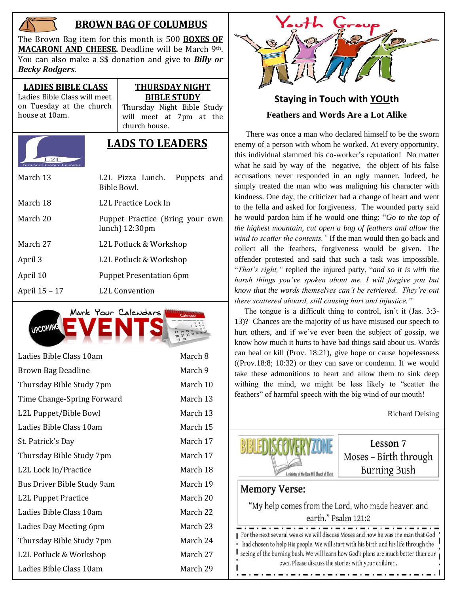

## **BROWN BAG OF COLUMBUS**

The Brown Bag item for this month is 500 **BOXES OF MACARONI AND CHEESE.** Deadline will be March 9th. You can also make a \$\$ donation and give to *Billy or Becky Rodgers*.

**LADIES BIBLE CLASS** Ladies Bible Class will meet on Tuesday at the church house at 10am.

#### **THURSDAY NIGHT BIBLE STUDY**

Thursday Night Bible Study will meet at 7pm at the church house.



## **LADS TO LEADERS**

| March 13      | L2L Pizza Lunch. Puppets and<br>Bible Bowl.                 |  |  |  |
|---------------|-------------------------------------------------------------|--|--|--|
| March 18      | L2L Practice Lock In                                        |  |  |  |
| March 20      | Puppet Practice (Bring your own<br>lunch) $12:30 \text{pm}$ |  |  |  |
| March 27      | L2L Potluck & Workshop                                      |  |  |  |
| April 3       | L2L Potluck & Workshop                                      |  |  |  |
| April 10      | <b>Puppet Presentation 6pm</b>                              |  |  |  |
| April 15 - 17 | <b>L2L Convention</b>                                       |  |  |  |



| Ladies Bible Class 10am    | March 8  |
|----------------------------|----------|
| Brown Bag Deadline         | March 9  |
| Thursday Bible Study 7pm   | March 10 |
| Time Change-Spring Forward | March 13 |
| L2L Puppet/Bible Bowl      | March 13 |
| Ladies Bible Class 10am    | March 15 |
| St. Patrick's Day          | March 17 |
| Thursday Bible Study 7pm   | March 17 |
| L2L Lock In/Practice       | March 18 |
| Bus Driver Bible Study 9am | March 19 |
| L2L Puppet Practice        | March 20 |
| Ladies Bible Class 10am    | March 22 |
| Ladies Day Meeting 6pm     | March 23 |
| Thursday Bible Study 7pm   | March 24 |
| L2L Potluck & Workshop     | March 27 |
| Ladies Bible Class 10am    | March 29 |



## **Staying in Touch with YOUth Feathers and Words Are a Lot Alike**

 There was once a man who declared himself to be the sworn enemy of a person with whom he worked. At every opportunity, this individual slammed his co-worker's reputation! No matter what he said by way of the negative, the object of his false accusations never responded in an ugly manner. Indeed, he simply treated the man who was maligning his character with kindness. One day, the criticizer had a change of heart and went to the fella and asked for forgiveness. The wounded party said he would pardon him if he would one thing: "*Go to the top of the highest mountain, cut open a bag of feathers and allow the wind to scatter the contents."* If the man would then go back and collect all the feathers, forgiveness would be given. The offender protested and said that such a task was impossible. "*That's right,"* replied the injured party, "*and so it is with the harsh things you've spoken about me. I will forgive you but know that the words themselves can't be retrieved. They're out there scattered aboard, still causing hurt and injustice."*

 The tongue is a difficult thing to control, isn't it (Jas. 3:3- 13)? Chances are the majority of us have misused our speech to hurt others, and if we've ever been the subject of gossip, we know how much it hurts to have bad things said about us. Words can heal or kill (Prov. 18:21), give hope or cause hopelessness ((Prov.18:8; 10:32) or they can save or condemn. If we would take these admonitions to heart and allow them to sink deep withing the mind, we might be less likely to "scatter the feathers" of harmful speech with the big wind of our mouth!

Richard Deising



Lesson 7 Moses - Birth through Burning Bush

## **Memory Verse:**

"My help comes from the Lord, who made heaven and earth." Psalm 121:2

For the next several weeks we will discuss Moses and how he was the man that God had chosen to help His people. We will start with his birth and his life through the seeing of the burning bush. We will learn how God's plans are much better than our own. Please discuss the stories with your children.